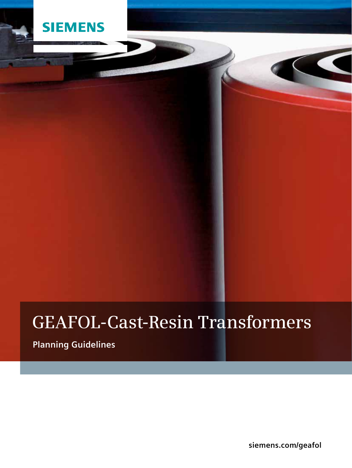

# **GEAFOL-Cast-Resin Transformers**

**Planning Guidelines**

**siemens.com/geafol**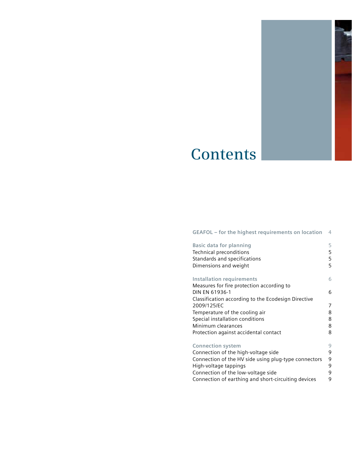

# **Contents**

# **GEAFOL – for the highest requirements on location** 4

| <b>Basic data for planning</b>                       | 5 |
|------------------------------------------------------|---|
| <b>Technical preconditions</b>                       | 5 |
| Standards and specifications                         | 5 |
| Dimensions and weight                                | 5 |
| Installation requirements                            | 6 |
| Measures for fire protection according to            |   |
| DIN EN 61936-1                                       | 6 |
| Classification according to the Ecodesign Directive  |   |
| 2009/125/EC                                          | 7 |
| Temperature of the cooling air                       | 8 |
| Special installation conditions                      | 8 |
| Minimum clearances                                   | 8 |
| Protection against accidental contact                | 8 |
| <b>Connection system</b>                             | 9 |
| Connection of the high-voltage side                  | 9 |
| Connection of the HV side using plug-type connectors | 9 |
| High-voltage tappings                                | 9 |
| Connection of the low-voltage side                   | 9 |
| Connection of earthing and short-circuiting devices  | 9 |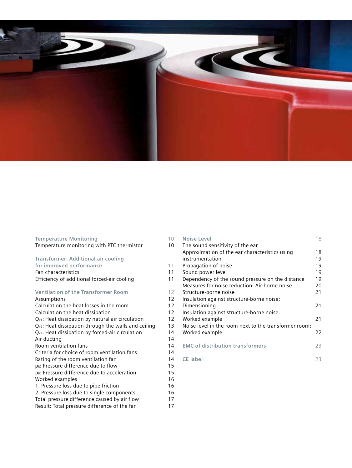

| <b>Temperature Monitoring</b>                            | 10 |
|----------------------------------------------------------|----|
| Temperature monitoring with PTC thermistor               | 10 |
| <b>Transformer: Additional air cooling</b>               |    |
| for improved performance                                 | 11 |
| Fan characteristics                                      | 11 |
| Efficiency of additional forced-air cooling              | 11 |
| <b>Ventilation of the Transformer Room</b>               | 12 |
| Assumptions                                              | 12 |
| Calculation the heat losses in the room                  | 12 |
| Calculation the heat dissipation                         | 12 |
| $Q_{v1}$ : Heat dissipation by natural air circulation   | 12 |
| $Qv2$ : Heat dissipation through the walls and ceiling   | 13 |
| $Qv3$ : Heat dissipation by forced-air circulation       | 14 |
| Air ducting                                              | 14 |
| Room ventilation fans                                    | 14 |
| Criteria for choice of room ventilation fans             | 14 |
| Rating of the room ventilation fan                       | 14 |
| p <sub>R</sub> : Pressure difference due to flow         | 15 |
| p <sub>B</sub> : Pressure difference due to acceleration | 15 |
| Worked examples                                          | 16 |
| 1. Pressure loss due to pipe friction                    | 16 |
| 2. Pressure loss due to single components                | 16 |
| Total pressure difference caused by air flow             | 17 |
| Result: Total pressure difference of the fan             | 17 |

| $\overline{0}$ | <b>Noise Level</b>                                    | 18 |
|----------------|-------------------------------------------------------|----|
| 0              | The sound sensitivity of the ear                      |    |
|                | Approximation of the ear characteristics using        | 18 |
|                | instrumentation                                       | 19 |
| $\vert$ 1      | Propagation of noise                                  | 19 |
| $\vert$ 1      | Sound power level                                     | 19 |
| $\vert$ 1      | Dependency of the sound pressure on the distance      | 19 |
|                | Measures for noise reduction: Air-borne noise         | 20 |
| 2              | Structure-borne noise                                 | 21 |
| 2              | Insulation against structure-borne noise:             |    |
| 2              | Dimensioning                                          | 21 |
| 2              | Insulation against structure-borne noise:             |    |
| 2              | Worked example                                        | 21 |
| 13             | Noise level in the room next to the transformer room: |    |
| 14             | Worked example                                        | 22 |
| 14             |                                                       |    |
| 14             | <b>EMC of distribution transformers</b>               | 23 |
| 4              |                                                       |    |
| $\overline{4}$ | <b>CE</b> label                                       | 23 |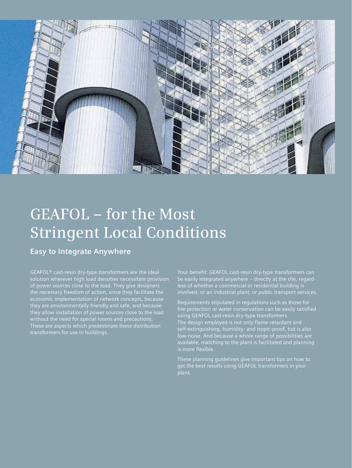

# **GEAFOL – for the Most Stringent Local Conditions**

**Easy to Integrate Anywhere** 

GEAFOL® cast-resin dry-type transformers are the ideal solution wherever high load densities necessitate provision of power sources close to the load. They give designers the necessary freedom of action, since they facilitate the economic implementation of network concepts, because without the need for special rooms and precautions. These are aspects which predestinate these distribution

Your benefit: GEAFOL cast-resin dry-type transformers can be easily integrated anywhere – directly at the site, regardless of whether a commercial or residential building is involved, or an industrial plant, or public transport services.

Requirements stipulated in regulations such as those for fire protection or water conservation can be easily satisfied using GEAFOL cast-resin dry-type transformers. The design employed is not only flame-retardant and self-extinguishing, humidity- and tropic-proof, but is also low-noise. And because a whole range of possibilities are available, matching to the plant is facilitated and planning

These planning guidelines give important tips on how to get the best results using GEAFOL transformers in your plant.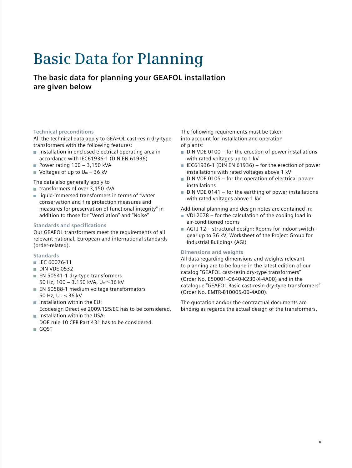# **Basic Data for Planning**

**The basic data for planning your GEAFOL installation are given below** 

### **Technical preconditions**

All the technical data apply to GEAFOL cast-resin dry-type transformers with the following features:

- $\blacksquare$  Installation in enclosed electrical operating area in accordance with IEC61936-1 (DIN EN 61936)
- Power rating  $100 3,150$  kVA
- Voltages of up to  $U_m = 36$  kV

The data also generally apply to

- $\blacksquare$  transformers of over 3,150 kVA
- $\blacksquare$  liquid-immersed transformers in terms of "water conservation and fire protection measures and measures for preservation of functional integrity" in addition to those for "Ventilation" and "Noise"

## **Standards and specifications**

Our GEAFOL transformers meet the requirements of all relevant national, European and international standards (order-related).

### **Standards**

- IEC 60076-11
- **DIN VDE 0532**
- EN 50541-1 dry-type transformers 50 Hz, 100 – 3,150 kVA, Um ≤ 36 kV
- **EN 50588-1 medium voltage transformators** 50 Hz, Um ≤ 36 kV
- $\blacksquare$  Installation within the EU: Ecodesign Directive 2009/125/EC has to be considered.
- $\blacksquare$  Installation within the USA: DOE rule 10 CFR Part 431 has to be considered.
- GOST

The following requirements must be taken into account for installation and operation of plants:

- $\blacksquare$  DIN VDE 0100 for the erection of power installations with rated voltages up to 1 kV
- $\blacksquare$  IEC61936-1 (DIN EN 61936) for the erection of power installations with rated voltages above 1 kV
- $\blacksquare$  DIN VDE 0105 for the operation of electrical power installations
- $\blacksquare$  DIN VDE 0141 for the earthing of power installations with rated voltages above 1 kV

Additional planning and design notes are contained in:

- VDI 2078 for the calculation of the cooling load in air-conditioned rooms
- AGI J 12 structural design: Rooms for indoor switchgear up to 36 kV; Worksheet of the Project Group for Industrial Buildings (AGI)

#### **Dimensions and weights**

All data regarding dimensions and weights relevant to planning are to be found in the latest edition of our catalog "GEAFOL cast-resin dry-type transformers" (Order No. E50001-G640-K230-X-4A00) and in the catalogue "GEAFOL Basic cast-resin dry-type transformers" (Order No. EMTR-B10005-00-4A00).

The quotation and/or the contractual documents are binding as regards the actual design of the transformers.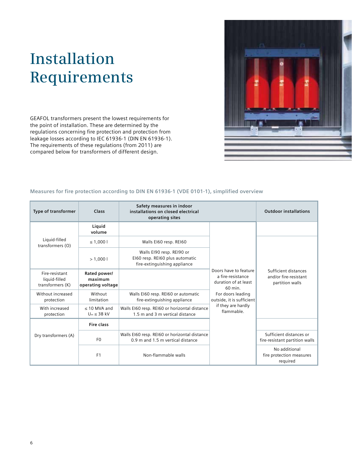# **Installation Requirements**

GEAFOL transformers present the lowest requirements for the point of installation. These are determined by the regulations concerning fire protection and protection from leakage losses according to IEC 61936-1 (DIN EN 61936-1). The requirements of these regulations (from 2011) are compared below for transformers of different design.



#### **Measures for fire protection according to DIN EN 61936-1 (VDE 0101-1), simplified overview**

| <b>Type of transformer</b>                          | Class                                        | Safety measures in indoor<br>installations on closed electrical<br>operating sites           |                                                                               | <b>Outdoor installations</b>                                     |
|-----------------------------------------------------|----------------------------------------------|----------------------------------------------------------------------------------------------|-------------------------------------------------------------------------------|------------------------------------------------------------------|
|                                                     | Liquid<br>volume                             |                                                                                              |                                                                               |                                                                  |
| Liquid-filled<br>transformers (O)                   | ≤ 1,000 l                                    | Walls EI60 resp. REI60                                                                       |                                                                               |                                                                  |
|                                                     | > 1.0001                                     | Walls EI90 resp. REI90 or<br>EI60 resp. REI60 plus automatic<br>fire-extinguishing appliance |                                                                               |                                                                  |
| Fire-resistant<br>liquid-filled<br>transformers (K) | Rated power/<br>maximum<br>operating voltage |                                                                                              | Doors have to feature<br>a fire-resistance<br>duration of at least<br>60 min. | Sufficient distances<br>and/or fire-resistant<br>partition walls |
| Without increased<br>protection                     | Without<br>limitation                        | Walls EI60 resp. REI60 or automatic<br>fire-extinguishing appliance                          | For doors leading<br>outside, it is sufficient                                |                                                                  |
| With increased<br>protection                        | $<$ 10 MVA and<br>$U_m \leq 38$ kV           | Walls EI60 resp. REI60 or horizontal distance<br>1.5 m and 3 m vertical distance             | if they are hardly<br>flammable.                                              |                                                                  |
|                                                     | Fire class                                   |                                                                                              |                                                                               |                                                                  |
| Dry transformers (A)                                | F <sub>0</sub>                               | Walls EI60 resp. REI60 or horizontal distance<br>0.9 m and 1.5 m vertical distance           |                                                                               | Sufficient distances or<br>fire-resistant partition walls        |
|                                                     | F <sub>1</sub>                               | Non-flammable walls                                                                          |                                                                               | No additional<br>fire protection measures<br>required            |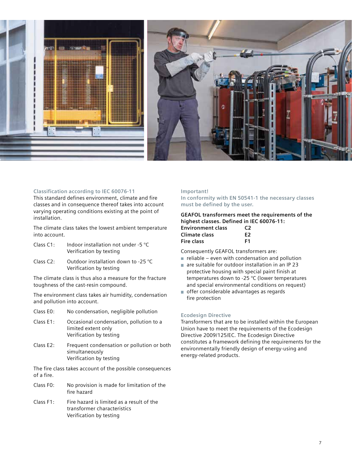

### **Classification according to IEC 60076-11**

This standard defines environment, climate and fire classes and in consequence thereof takes into account varying operating conditions existing at the point of installation.

The climate class takes the lowest ambient temperature into account.

- Class C1: Indoor installation not under -5 °C Verification by texting
- Class C2: Outdoor installation down to -25 °C Verification by testing

The climate class is thus also a measure for the fracture toughness of the cast-resin compound.

The environment class takes air humidity, condensation and pollution into account.

- Class E0: No condensation, negligible pollution
- Class E1: Occasional condensation, pollution to a limited extent only Verification by testing
- Class E2: Frequent condensation or pollution or both simultaneously Verification by testing

The fire class takes account of the possible consequences of a fire.

- Class F0: No provision is made for limitation of the fire hazard
- Class F1: Fire hazard is limited as a result of the transformer characteristics Verification by testing

#### **Important!**

**In conformity with EN 50541-1 the necessary classes must be defined by the user.** 

#### **GEAFOL transformers meet the requirements of the highest classes. Defined in IEC 60076-11:**

| <b>Environment class</b> | C <sub>2</sub> |
|--------------------------|----------------|
| Climate class            | F2             |
| Fire class               | F1             |

Consequently GEAFOL transformers are:

- $\blacksquare$  reliable even with condensation and pollution
- are suitable for outdoor installation in an IP 23 protective housing with special paint finish at temperatures down to -25 °C (lower temperatures and special environmental conditions on request)
- offer considerable advantages as regards fire protection

#### **Ecodesign Directive**

Transformers that are to be installed within the European Union have to meet the requirements of the Ecodesign Directive 2009/125/EC. The Ecodesign Directive constitutes a framework defining the requirements for the environmentally friendly design of energy-using and energy-related products.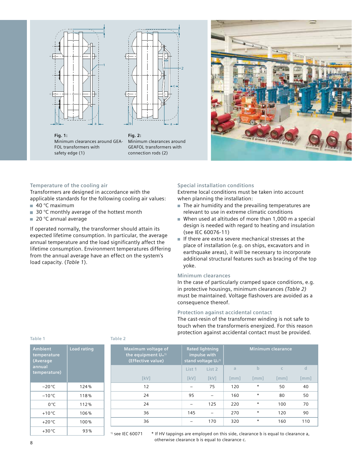



**Fig. 1:**  Minimum clearances around GEA-Minimum clearances around FOL transformers with safety edge (1)

**Fig. 2:**  GEAFOL transformers with connection rods (2)



#### **Temperature of the cooling air**

Transformers are designed in accordance with the applicable standards for the following cooling air values:  $\blacksquare$  40 °C maximum

- 30 °C monthly average of the hottest month
- 20 °C annual average

If operated normally, the transformer should attain its expected lifetime consumption. In particular, the average annual temperature and the load significantly affect the lifetime consumption. Environment temperatures differing from the annual average have an effect on the system's load capacity. (*Table 1*).

#### **Special installation conditions**

Extreme local conditions must be taken into account when planning the installation:

- $\blacksquare$  The air humidity and the prevailing temperatures are relevant to use in extreme climatic conditions
- When used at altitudes of more than 1,000 m a special m. design is needed with regard to heating and insulation (see IEC 60076-11)
- If there are extra severe mechanical stresses at the place of installation (e.g. on ships, excavators and in earthquake areas), it will be necessary to incorporate additional structural features such as bracing of the top yoke.

#### **Minimum clearances**

In the case of particularly cramped space conditions, e.g. in protective housings, minimum clearances *(Table 2)* must be maintained. Voltage flashovers are avoided as a consequence thereof.

#### **Protection against accidental contact**

The cast-resin of the transformer winding is not safe to touch when the transformeris energized. For this reason protection against accidental contact must be provided.

| <b>Ambient</b><br>temperature<br>(Average<br>annual<br>temperature) | <b>Load rating</b> |  |
|---------------------------------------------------------------------|--------------------|--|
| $-20^{\circ}$ C                                                     | 124%               |  |
| $-10^{\circ}$ C                                                     | 118%               |  |
| $0^{\circ}$ C                                                       | 112%               |  |
| $+10^{\circ}$ C                                                     | 106%               |  |
| $+20^{\circ}$ C                                                     | 100%               |  |
| $+30^{\circ}$ C                                                     | 93%                |  |

#### **Table 1 Table 2**

| Maximum voltage of<br>the equipment $U_m$ <sup>1)</sup><br>(Effective value) | <b>Rated lightning</b><br>impulse with<br>stand voltage Uu <sup>1)</sup> |             |      |             | Minimum clearance    |      |
|------------------------------------------------------------------------------|--------------------------------------------------------------------------|-------------|------|-------------|----------------------|------|
|                                                                              | List 1                                                                   | List 2      | a    | $\mathbf b$ |                      | d    |
| [kV]                                                                         | <b>TkV1</b>                                                              | <b>TkV1</b> | [mm] | [mm]        | $\lceil$ mm $\rceil$ | [mm] |
| 12                                                                           |                                                                          | 75          | 120  | $^\star$    | 50                   | 40   |
| 24                                                                           | 95                                                                       |             | 160  | $\star$     | 80                   | 50   |
| 24                                                                           |                                                                          | 125         | 220  | $^\star$    | 100                  | 70   |
| 36                                                                           | 145                                                                      |             | 270  | $\ast$      | 120                  | 90   |
| 36                                                                           |                                                                          | 170         | 320  | $\star$     | 160                  | 110  |
|                                                                              |                                                                          |             |      |             |                      |      |

 $1$  see IEC 60071  $\rightarrow$  \* If HV tappings are employed on this side, clearance b is equal to clearance a, otherwise clearance b is equal to clearance c.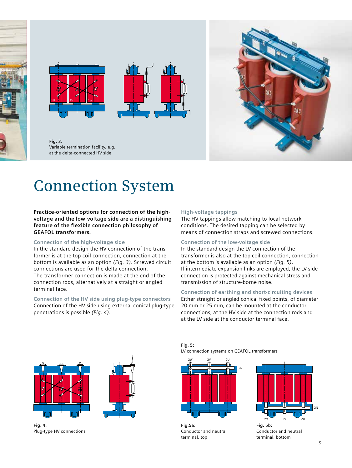





**Fig. 3:**  Variable termination facility, e.g. at the delta-connected HV side



# **Connection System**

#### **Practice-oriented options for connection of the highvoltage and the low-voltage side are a distinguishing feature of the flexible connection philosophy of GEAFOL transformers.**

#### **Connection of the high-voltage side**

In the standard design the HV connection of the transformer is at the top coil connection, connection at the bottom is available as an option *(Fig. 3)*. Screwed circuit connections are used for the delta connection. The transformer connection is made at the end of the connection rods, alternatively at a straight or angled terminal face.

#### **Connection of the HV side using plug-type connectors**

Connection of the HV side using external conical plug-type penetrations is possible *(Fig. 4)*.

#### **High-voltage tappings**

The HV tappings allow matching to local network conditions. The desired tapping can be selected by means of connection straps and screwed connections.

#### **Connection of the low-voltage side**

In the standard design the LV connection of the transformer is also at the top coil connection, connection at the bottom is available as an option *(Fig. 5)*. If intermediate expansion links are employed, the LV side connection is protected against mechanical stress and transmission of structure-borne noise.

# **Connection of earthing and short-circuiting devices**

Either straight or angled conical fixed points, of diameter 20 mm or 25 mm, can be mounted at the conductor connections, at the HV side at the connection rods and at the LV side at the conductor terminal face.



**Fig. 4:**  Plug-type HV connections

**Fig. 5:**  LV connection systems on GEAFOL transformers



**Fig.5a:** Conductor and neutral terminal, top



Conductor and neutral terminal, bottom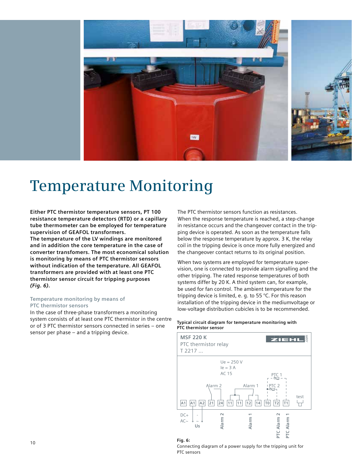

# **Temperature Monitoring**

**Either PTC thermistor temperature sensors, PT 100 resistance temperature detectors (RTD) or a capillary tube thermometer can be employed for temperature supervision of GEAFOL transformers. The temperature of the LV windings are monitored and in addition the core temperature in the case of converter transfomers. The most economical solution is monitoring by means of PTC thermistor sensors without indication of the temperature. All GEAFOL transformers are provided with at least one PTC thermistor sensor circuit for tripping purposes**  *(Fig. 6)***.** 

#### **Temperature monitoring by means of PTC thermistor sensors**

In the case of three-phase transformers a monitoring system consists of at least one PTC thermistor in the centre or of 3 PTC thermistor sensors connected in series – one sensor per phase – and a tripping device.

The PTC thermistor sensors function as resistances. When the response temperature is reached, a step-change in resistance occurs and the changeover contact in the tripping device is operated. As soon as the temperature falls below the response temperature by approx. 3 K, the relay coil in the tripping device is once more fully energized and the changeover contact returns to its original position.

When two systems are employed for temperature supervision, one is connected to provide alarm signalling and the other tripping. The rated response temperatures of both systems differ by 20 K. A third system can, for example, be used for fan control. The ambient temperature for the tripping device is limited, e. g. to 55 °C. For this reason installation of the tripping device in the mediumvoltage or low-voltage distribution cubicles is to be recommended.

#### **Typical circuit diagram for temperature monitoring with PTC thermistor sensor**





#### Connecting diagram of a power supply for the tripping unit for PTC sensors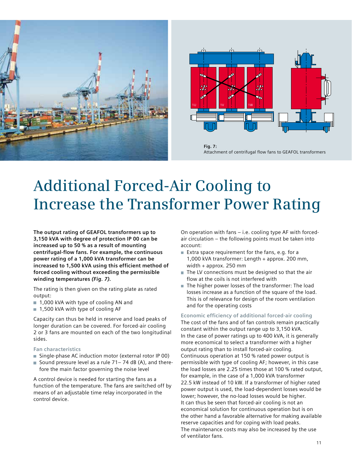



**Fig. 7:**  Attachment of centrifugal flow fans to GEAFOL transformers

# **Additional Forced-Air Cooling to Increase the Transformer Power Rating**

**The output rating of GEAFOL transformers up to 3,150 kVA with degree of protection IP 00 can be increased up to 50 % as a result of mounting centrifugal-flow fans. For example, the continuous power rating of a 1,000 kVA transformer can be increased to 1,500 kVA using this efficient method of forced cooling without exceeding the permissible winding temperatures** *(Fig. 7).*

The rating is then given on the rating plate as rated output:

- 1,000 kVA with type of cooling AN and
- 1,500 kVA with type of cooling AF

Capacity can thus be held in reserve and load peaks of longer duration can be covered. For forced-air cooling 2 or 3 fans are mounted on each of the two longitudinal sides.

# **Fan characteristics**

- Single-phase AC induction motor (external rotor IP 00)
- Sound pressure level as a rule  $71 74$  dB (A), and therefore the main factor governing the noise level

A control device is needed for starting the fans as a function of the temperature. The fans are switched off by means of an adjustable time relay incorporated in the control device.

On operation with fans – i.e. cooling type AF with forcedair circulation – the following points must be taken into account:

- Extra space requirement for the fans, e.g. for a 1,000 kVA transformer: Length + approx. 200 mm, width + approx. 250 mm
- $\blacksquare$  The LV connections must be designed so that the air flow at the coils is not interfered with
- The higher power losses of the transformer: The load losses increase as a function of the square of the load. This is of relevance for design of the room ventilation and for the operating costs

**Economic efficiency of additional forced-air cooling**  The cost of the fans and of fan controls remain practically

constant within the output range up to 3,150 kVA. In the case of power ratings up to 400 kVA, it is generally more economical to select a transformer with a higher output rating than to install forced-air cooling. Continuous operation at 150 % rated power output is permissible with type of cooling AF; however, in this case the load losses are 2.25 times those at 100 % rated output, for example, in the case of a 1,000 kVA transformer 22.5 kW instead of 10 kW. If a transformer of higher rated power output is used, the load-dependent losses would be lower; however, the no-load losses would be higher. It can thus be seen that forced-air cooling is not an economical solution for continuous operation but is on the other hand a favorable alternative for making available reserve capacities and for coping with load peaks. The maintenance costs may also be increased by the use of ventilator fans.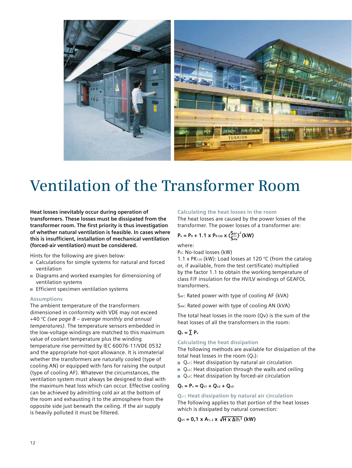

# **Ventilation of the Transformer Room**

**Heat losses inevitably occur during operation of transformers. These losses must be dissipated from the transformer room. The first priority is thus investigation of whether natural ventilation is feasible. In cases where this is insufficient, installation of mechanical ventilation (forced-air ventilation) must be considered.** 

Hints for the following are given below:

- Calculations for simple systems for natural and forced ventilation
- Diagrams and worked examples for dimensioning of ventilation systems
- **Efficient specimen ventilation systems**

#### **Assumptions**

The ambient temperature of the transformers dimensioned in conformity with VDE may not exceed +40 °C *(see page 8 – average monthly and annual temperatures)*. The temperature sensors embedded in the low-voltage windings are matched to this maximum value of coolant temperature plus the winding temperature rise permitted by IEC 60076-11/VDE 0532 and the appropriate hot-spot allowance. It is immaterial whether the transformers are naturally cooled (type of cooling AN) or equipped with fans for raising the output (type of cooling AF). Whatever the circumstances, the ventilation system must always be designed to deal with the maximum heat loss which can occur. Effective cooling can be achieved by admitting cold air at the bottom of the room and exhausting it to the atmosphere from the opposite side just beneath the ceiling. If the air supply is heavily polluted it must be filtered.

#### **Calculating the heat losses in the room**

The heat losses are caused by the power losses of the transformer. The power losses of a transformer are:

$$
P_v = P_0 + 1.1 \times P_{K120} \times (\frac{S_{AF}}{S_{AN}})^2
$$
 (kW)

where:

Po: No-load losses (kW)

1.1 x PK<sub>120</sub> (kW): Load losses at 120 °C (from the catalog or, if available, from the test certificate) multiplied by the factor 1.1 to obtain the working temperature of class F/F insulation for the HV/LV windings of GEAFOL transformers.

SAF: Rated power with type of cooling AF (kVA)

SAN: Rated power with type of cooling AN (kVA)

The total heat losses in the room (Qv) is the sum of the heat losses of all the transformers in the room:

#### $Q_v = \sum P_v$

#### **Calculating the heat dissipation**

The following methods are available for dissipation of the total heat losses in the room  $(Q_v)$ :

- $Q_{\text{v1}}$ : Heat dissipation by natural air circulation
- $\Box$  Q<sub>v2</sub>: Heat dissipation through the walls and ceiling
- $\Box$  Q<sub>v3</sub>: Heat dissipation by forced-air circulation

#### $Q_v = P_v = Q_{v1} + Q_{v2} + Q_{v3}$

**Qv1: Heat dissipation by natural air circulation**  The following applies to that portion of the heat losses which is dissipated by natural convection:

 $Q_{v1} = 0.1 \times A_{1,2} \times \sqrt{H \times \Delta \theta_{L}^{3}}$  (kW)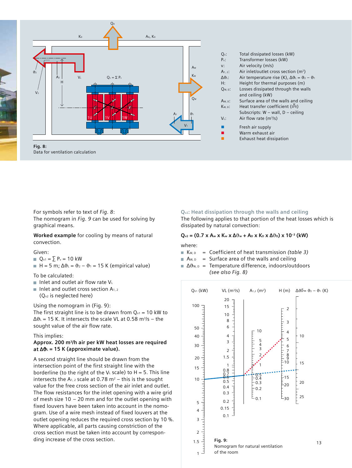

For symbols refer to text of *Fig. 8*:

The nomogram in *Fig. 9* can be used for solving by graphical means.

**Worked example** for cooling by means of natural convection.

#### Given:

- $Q_{v1} = \sum P_v = 10$  kW
- $H = 5$  m;  $\Delta \vartheta_1 = \vartheta_2 \vartheta_1 = 15$  K (empirical value)

To be calculated:

- Inlet and outlet air flow rate  $V_L$
- Inlet and outlet cross section  $A_{1,2}$

(Qv2 is neglected here)

Using the nomogram in (Fig. 9):

The first straight line is to be drawn from  $Q_{v1} = 10$  kW to  $\Delta\vartheta_L$  = 15 K. It intersects the scale VL at 0.58 m<sup>3</sup>/s – the sought value of the air flow rate.

This implies:

### **Approx. 200 m3/h air per kW heat losses are required at ∆**ϑ**L = 15 K (approximate value).**

A second straight line should be drawn from the intersection point of the first straight line with the borderline (to the right of the  $V<sub>L</sub>$  scale) to H = 5. This line intersects the  $A_{1,2}$  scale at 0.78 m<sup>2</sup> – this is the sought value for the free cross section of the air inlet and outlet. The flow resistances for the inlet opening with a wire grid of mesh size 10 – 20 mm and for the outlet opening with fixed louvers have been taken into account in the nomogram. Use of a wire mesh instead of fixed louvers at the outlet opening reduces the required cross section by 10 %. Where applicable, all parts causing constriction of the cross section must be taken into account by corresponding increase of the cross section.

# **Qv2: Heat dissipation through the walls and ceiling**

The following applies to that portion of the heat losses which is dissipated by natural convection:

# $Q<sub>v2</sub> = (0.7 × A<sub>w</sub> × K<sub>w</sub> × Δ<sub>0</sub><sup>3</sup> + A<sub>D</sub> × K<sub>D</sub> × Δ<sub>0</sub><sup>3</sup>) × 10<sup>-3</sup> (kW)$

where:

- K<sub>W, D</sub> = Coefficient of heat transmission *(table 3)*
- $A_{W,D}$  = Surface area of the walls and ceiling
- Δθ<sub>W, D</sub> = Temperature difference, indoors/outdoors *(see also Fig. 8)*

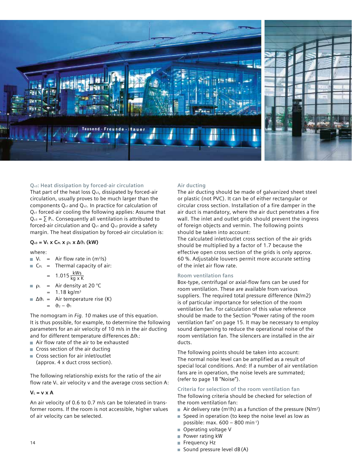

### **Qv3: Heat dissipation by forced-air circulation**

That part of the heat loss  $Q_{v3}$ , dissipated by forced-air circulation, usually proves to be much larger than the components Qv1 and Qv2. In practice for calculation of Qv1 forced-air cooling the following applies: Assume that  $Q_{v3} = \sum P_v$ . Consequently all ventilation is attributed to forced-air circulation and  $Q_{v1}$  and  $Q_{v2}$  provide a safety margin. The heat dissipation by forced-air circulation is:

### **Qv3 = VL x CPL x** ρ**L x ∆**ϑ**<sup>L</sup> (kW)**

#### where:

- $V_{L}$  = Air flow rate in  $(m^{3}/s)$
- $\blacksquare$  C<sub>PL</sub> = Thermal capacity of air:

$$
= 1.015 \frac{\text{kWs}}{\text{kg x K}}
$$

- $\rho_L$  = Air density at 20 °C 1.18  $kg/m<sup>3</sup>$
- $\triangle$  $\theta_L$  = Air temperature rise (K)  $= \vartheta_2 - \vartheta_1$

The nomogram in *Fig. 10* makes use of this equation. It is thus possible, for example, to determine the following parameters for an air velocity of 10 m/s in the air ducting and for different temperature differences Δθι:

- Air flow rate of the air to be exhausted
- Cross section of the air ducting
- Cross section for air inlet/outlet

(approx. 4 x duct cross section).

The following relationship exists for the ratio of the air flow rate  $V_{L}$ , air velocity v and the average cross section A:

# $V_L = v \times A$

An air velocity of 0.6 to 0.7 m/s can be tolerated in transformer rooms. If the room is not accessible, higher values of air velocity can be selected.

# **Air ducting**

The air ducting should be made of galvanized sheet steel or plastic (not PVC). It can be of either rectangular or circular cross section. Installation of a fire damper in the air duct is mandatory, where the air duct penetrates a fire wall. The inlet and outlet grids should prevent the ingress of foreign objects and vermin. The following points should be taken into account:

The calculated inlet/outlet cross section of the air grids should be multiplied by a factor of 1.7 because the effective open cross section of the grids is only approx. 60 %. Adjustable louvers permit more accurate setting of the inlet air flow rate.

# **Room ventilation fans**

Box-type, centrifugal or axial-flow fans can be used for room ventilation. These are available from various suppliers. The required total pressure difference (N/m2) is of particular importance for selection of the room ventilation fan. For calculation of this value reference should be made to the Section "Power rating of the room ventilation fan" on page 15. It may be necessary to employ sound dampening to reduce the operational noise of the room ventilation fan. The silencers are installed in the air ducts.

The following points should be taken into account: The normal noise level can be amplified as a result of special local conditions. And: If a number of air ventilation fans are in operation, the noise levels are summated; (refer to page 18 "Noise").

**Criteria for selection of the room ventilation fan**  The following criteria should be checked for selection of the room ventilation fan:

- Air delivery rate (m<sup>3</sup>/h) as a function of the pressure (N/m<sup>2</sup>)
- $\blacksquare$  Speed in operation (to keep the noise level as low as possible: max. 600 – 800 min-1)
- Operating voltage V
- Power rating kW
- Frequency Hz
- Sound pressure level  $dB(A)$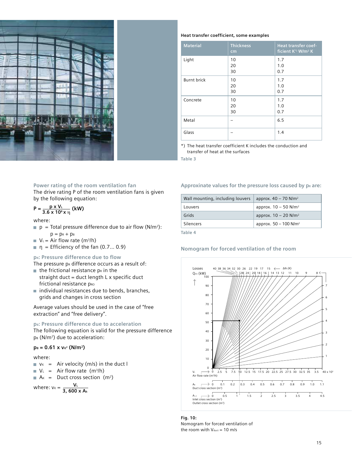

#### **Heat transfer coefficient, some examples**

| <b>Material</b>    | <b>Thickness</b><br>cm | Heat transfer coef-<br>ficient K <sup>*</sup> ) W/m <sup>2</sup> K |
|--------------------|------------------------|--------------------------------------------------------------------|
| Light              | 10<br>20<br>30         | 1.7<br>1.0<br>0.7                                                  |
| <b>Burnt brick</b> | 10<br>20<br>30         | 1.7<br>1.0<br>0.7                                                  |
| Concrete           | 10<br>20<br>30         | 1.7<br>1.0<br>0.7                                                  |
| Metal              |                        | 6.5                                                                |
| Glass              |                        | 1.4                                                                |

\*) The heat transfer coefficient K includes the conduction and transfer of heat at the surfaces

**Table 3**

#### **Power rating of the room ventilation fan**

The drive rating P of the room ventilation fans is given by the following equation:

$$
P = \frac{p \times V_{L}}{3.6 \times 10^{6} \times \eta}
$$
 (kW)

#### where:

- $\blacksquare$  p = Total pressure difference due to air flow (N/m<sup>2</sup>):  $p = p<sub>R</sub> + p<sub>B</sub>$
- $V_1$  = Air flow rate (m<sup>3</sup>/h)
- $\blacksquare$  η = Efficiency of the fan (0.7... 0.9)

#### **pR: Pressure difference due to flow**

The pressure  $p_R$  difference occurs as a result of:

- $\blacksquare$  the frictional resistance p<sub>R</sub> in the straight duct = duct length  $L \times$  specific duct frictional resistance pRO
- $\blacksquare$  individual resistances due to bends, branches, grids and changes in cross section

Average values should be used in the case of "free extraction" and "free delivery".

# **p**<sub>B</sub>: Pressure difference due to acceleration

The following equation is valid for the pressure difference  $p_{B}$  (N/m<sup>2</sup>) due to acceleration:

### $p_B = 0.61 \times v_K^2$  (N/m<sup>2</sup>)

#### where:

- $\bullet$  v<sub>K</sub> = Air velocity (m/s) in the duct l
- $V_{L}$  = Air flow rate (m<sup>3</sup>/h)
- $A_K$  = Duct cross section (m<sup>2</sup>)

where:  $v_k = \frac{V_k}{2.600}$ **3, 600 x Ak**

#### Approxinate values for the pressure loss caused by  $p_R$  are:

| Wall mounting, including louvers | approx. $40 - 70$ N/m <sup>2</sup>  |
|----------------------------------|-------------------------------------|
| Louvers                          | approx. $10 - 50$ N/m <sup>2</sup>  |
| Grids                            | approx. $10 - 20$ N/m <sup>2</sup>  |
| Silencers                        | approx. $50 - 100$ N/m <sup>2</sup> |

**Table 4**

### **Nomogram for forced ventilation of the room**



#### **Fig. 10:**  Nomogram for forced ventilation of the room with  $V_{\text{duct}} = 10 \text{ m/s}$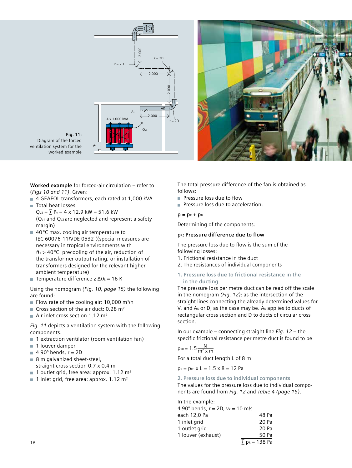

**Fig. 11:**  Diagram of the forced ventilation system for the worked example

**Worked example** for forced-air circulation – refer to (*Figs 10 and 11)*. Given:

- 4 GEAFOL transformers, each rated at 1,000 kVA
- Total heat losses  $Q_{v3} = \sum P_v = 4 \times 12.9$  kW = 51.6 kW (Qv1 and Qv2 are neglected and represent a safety margin)
- $\blacksquare$  40 °C max. cooling air temperature to IEC 60076-11/VDE 0532 ((special measures are necessary in tropical environments with  $\vartheta_1$  > 40 °C: precooling of the air, reduction of the transformer output rating, or installation of transformers designed for the relevant higher ambient temperature)
- Temperature difference z ∆ϑL = 16 K

Using the nomogram *(Fig. 10, page 15)* the following are found:

- Flow rate of the cooling air: 10,000  $m^3/h$
- Cross section of the air duct: 0.28  $m<sup>2</sup>$
- Air inlet cross section 1.12  $m<sup>2</sup>$

*Fig. 11* depicts a ventilation system with the following components:

- 1 extraction ventilator (room ventilation fan)
- 1 louver damper
- $\blacksquare$  4 90 $^{\circ}$  bends, r = 2D
- 8 m galvanized sheet-steel, straight cross section 0.7 x 0.4 m
- 1 outlet grid, free area: approx. 1.12  $m<sup>2</sup>$
- 1 inlet grid, free area: approx. 1.12  $m<sup>2</sup>$

The total pressure difference of the fan is obtained as follows:

- Pressure loss due to flow
- **Pressure loss due to acceleration:**

### $p = p<sub>R</sub> + p<sub>B</sub>$

Determining of the components:

# **p<sub>R</sub>: Pressure difference due to flow**

The pressure loss due to flow is the sum of the following losses:

- 1. Frictional resistance in the duct
- 2. The resistances of individual components

# **1. Pressure loss due to frictional resistance in the in the ducting**

The pressure loss per metre duct can be read off the scale in the nomogram *(Fig. 12)*: as the intersection of the straight lines connecting the already determined values for  $V<sub>L</sub>$  and A<sub>K</sub> or D, as the case may be. A<sub>K</sub> applies to ducts of rectangular cross section and D to ducts of circular cross section.

In our example – connecting straight line *Fig. 12* – the specific frictional resistance per metre duct is found to be

$$
p_{R0}=1.5\frac{N}{m^2\,x\,m}
$$

For a total duct length L of 8 m:

 $p_R = p_{R0} \times L = 1.5 \times 8 = 12$  Pa

# **2. Pressure loss due to individual components**

The values for the pressure loss due to individual components are found from *Fig. 12* and *Table 4 (page 15)*.

In the example:

| 4 90 $^{\circ}$ bends, r = 2D, $v_{K}$ = 10 m/s |                                  |
|-------------------------------------------------|----------------------------------|
| each 12,0 Pa                                    | 48 Pa                            |
| 1 inlet grid                                    | 20 Pa                            |
| 1 outlet grid                                   | 20 Pa                            |
| 1 louver (exhaust)                              | 50 Pa                            |
|                                                 | $\Sigma$ p <sub>R</sub> = 138 Pa |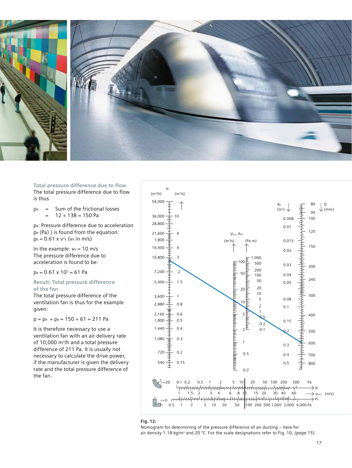

**Total pressure difference due to flow**  The total pressure difference due to flow is thus

 $p_R$  = Sum of the frictional losses  $12 + 138 = 150$  Pa

pB: Pressure difference due to acceleration  $p_{B}$  (Pa)) is found from the equation:  $p_B = 0.61 \times V^2$ <sub>K</sub> ( $v_K$  in m/s)

In the example:  $v_k = 10$  m/s The pressure difference due to acceleration is found to be:

 $p_B = 0.61 \times 10^2 = 61$  Pa

# **Result: Total pressure difference of the fan**

The total pressure difference of the ventilation fan is thus for the example given:

 $p = p<sub>R</sub> + p<sub>B</sub> = 150 + 61 = 211 Pa$ 

It is therefore necessary to use a ventilation fan with an air delivery rate of 10,000 m<sup>3</sup>/h and a total pressure difference of 211 Pa. It is usually not necessary to calculate the drive power, if the manufacturer is given the delivery rate and the total pressure difference of the fan.



#### **Fig. 12:**

Nomogram for determining of the pressure difference of air ducting – here for air density 1.18 kg/m3 and 20 °C. For the scale designations refer to Fig. 10*, (page 15)*.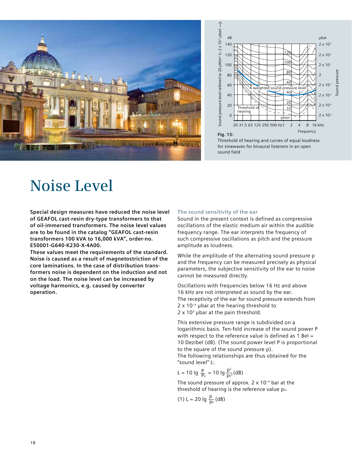



Threshold of hearing and curves of equal loudness for sinewaves for binaural listeners in an open sound field

# **Noise Level**

**Special design measures have reduced the noise level of GEAFOL cast-resin dry-type transformers to that of oil-immersed transformers. The noise level values are to be found in the catalog "GEAFOL cast-resin transformers 100 kVA to 16,000 kVA", order-no. E50001-G640-K230-X-4A00.**

**These values meet the requirements of the standard. Noise is caused as a result of magnetostriction of the core laminations. In the case of distribution transformers noise is dependent on the induction and not on the load. The noise level can be increased by voltage harmonics, e.g. caused by converter operation.** 

## **The sound sensitivity of the ear**

Sound in the present context is defined as compressive oscillations of the elastic medium air within the audible frequency range. The ear interprets the frequency of such compressive oscillations as pitch and the pressure amplitude as loudness.

While the amplitude of the alternating sound pressure p and the frequency can be measured precisely as physical parameters, the subjective sensitivity of the ear to noise cannot be measured directly.

Oscillations with frequencies below 16 Hz and above 16 kHz are not interpreted as sound by the ear. The receptivity of the ear for sound pressure extends from  $2 \times 10^{-4}$  µbar at the hearing threshold to  $2 \times 10^3$  µbar at the pain threshold.

This extensive pressure range is subdivided on a logarithmic basis. Ten-fold increase of the sound power P with respect to the reference value is defined as 1 Bel = 10 Dezibel (dB). (The sound power level P is proportional to the square of the sound pressure p). The following relationships are thus obtained for the "sound level" L:

L = 10 lg 
$$
\frac{P}{P_0}
$$
 = 10 lg  $\frac{p^2}{p_0^2}$  (dB)

The sound pressure of approx.  $2 \times 10^{-4}$  bar at the threshold of hearing is the reference value po.

(1) L = 20 lg  $\frac{p}{p_0}$  (dB) p<sub>o</sub>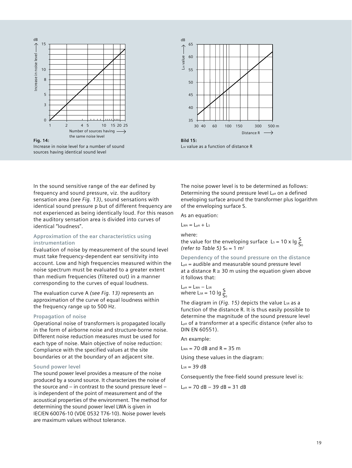

Increase in noise level for a number of sound sources having identical sound level



L<sub>SR</sub> value as a function of distance R

In the sound sensitive range of the ear defined by frequency and sound pressure, viz. the auditory sensation area *(see Fig. 13)*, sound sensations with identical sound pressure p but of different frequency are not experienced as being identically loud. For this reason the auditory sensation area is divided into curves of identical "loudness".

# **Approximation of the ear characteristics using instrumentation**

Evaluation of noise by measurement of the sound level must take frequency-dependent ear sensitivity into account. Low and high frequencies measured within the noise spectrum must be evaluated to a greater extent than medium frequencies (filtered out) in a manner corresponding to the curves of equal loudness.

The evaluation curve A *(see Fig. 13)* represents an approximation of the curve of equal loudness within the frequency range up to 500 Hz.

#### **Propagation of noise**

Operational noise of transformers is propagated locally in the form of airborne noise and structure-borne noise. Different noise reduction measures must be used for each type of noise. Main objective of noise reduction: Compliance with the specified values at the site boundaries or at the boundary of an adjacent site.

#### **Sound power level**

The sound power level provides a measure of the noise produced by a sound source. It characterizes the noise of the source and – in contrast to the sound pressure level – is independent of the point of measurement and of the acoustical properties of the environment. The method for determining the sound power level LWA is given in IEC/EN 60076-10 (VDE 0532 T76-10). Noise power levels are maximum values without tolerance.

The noise power level is to be determined as follows: Determining the sound pressure level L<sub>PA</sub> on a defined enveloping surface around the transformer plus logarithm of the enveloping surface S.

As an equation:

 $L_{WA} = L_{pA} + L_{S}$ 

where:

the value for the enveloping surface L<sub>s</sub> = 10 x lg  $\frac{S}{S}$ *(refer to Table 5)*  $S_0 = 1$  m<sup>2</sup>  $\overline{S}_0$ 

**Dependency of the sound pressure on the distance**  $L_{pA}$  = audible and measurable sound pressure level at a distance  $R \geq 30$  m using the equation given above it follows that:

 $L_{pA} = L_{WA} - L_{SR}$ where  $\text{LSR} = 10 \text{ kg} \frac{\text{S}}{\text{C}}$  $\overline{\mathsf{S}}_0$ 

The diagram in (*Fig. 15*) depicts the value L<sub>SR</sub> as a function of the distance R. It is thus easily possible to determine the magnitude of the sound pressure level LpA of a transformer at a specific distance (refer also to DIN EN 60551).

An example:

 $L_{WA}$  = 70 dB and R = 35 m

Using these values in the diagram:

 $L_{SR}$  = 39 dB

Consequently the free-field sound pressure level is:

 $L_{pA}$  = 70 dB - 39 dB = 31 dB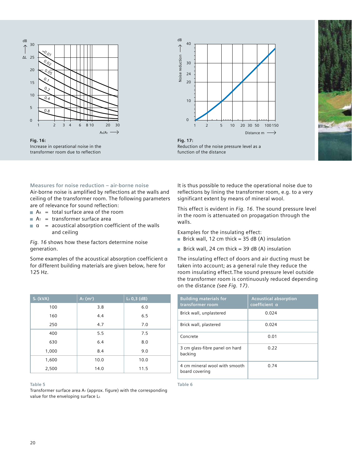

**Fig. 16:**  Increase in operational noise in the transformer room due to reflection



**Fig. 17:**  Reduction of the noise pressure level as a function of the distance

### **Measures for noise reduction – air-borne noise**

Air-borne noise is amplified by reflections at the walls and ceiling of the transformer room. The following parameters are of relevance for sound reflection:

- $A<sub>R</sub>$  = total surface area of the room
- $A<sub>T</sub>$  = transformer surface area
- $\alpha$  = acoustical absorption coefficient of the walls and ceiling

*Fig. 16* shows how these factors determine noise generation.

Some examples of the acoustical absorption coefficient α for different building materials are given below, here for 125 Hz.

| S <sub>r</sub> (kVA) | $Ar$ (m <sup>2</sup> ) | $Ls 0,3$ (dB) |
|----------------------|------------------------|---------------|
| 100                  | 3.8                    | 6.0           |
| 160                  | 4.4                    | 6.5           |
| 250                  | 4.7                    | 7.0           |
| 400                  | 5.5                    | 7.5           |
| 630                  | 6.4                    | 8.0           |
| 1,000                | 8.4                    | 9.0           |
| 1,600                | 10.0                   | 10.0          |
| 2,500                | 14.0                   | 11.5          |

#### **Table 5**

Transformer surface area  $A_T$  (approx. figure) with the corresponding value for the enveloping surface Ls

It is thus possible to reduce the operational noise due to reflections by lining the transformer room, e.g. to a very significant extent by means of mineral wool.

This effect is evident in *Fig. 16*. The sound pressure level in the room is attenuated on propagation through the walls.

Examples for the insulating effect:

- Brick wall, 12 cm thick =  $35$  dB (A) insulation
- Brick wall, 24 cm thick = 39 dB (A) insulation

The insulating effect of doors and air ducting must be taken into account; as a general rule they reduce the room insulating effect.The sound pressure level outside the transformer room is continuously reduced depending on the distance *(see Fig. 17)*.

| <b>Building materials for</b><br>transformer room | <b>Acoustical absorption</b><br>coefficient a |
|---------------------------------------------------|-----------------------------------------------|
| Brick wall, unplastered                           | 0.024                                         |
| Brick wall, plastered                             | 0.024                                         |
| Concrete                                          | 0.01                                          |
| 3 cm glass-fibre panel on hard<br>backing         | 0.22                                          |
| 4 cm mineral wool with smooth<br>board covering   | 0.74                                          |

**Table 6**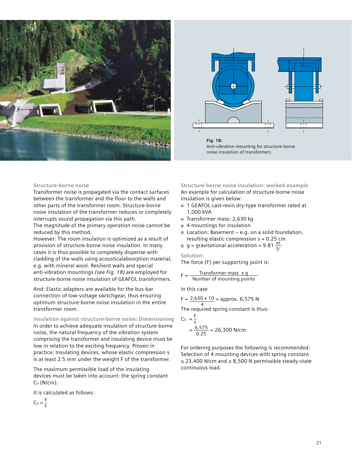



**Fig. 18:**  Anti-vibration mounting for structure-borne noise insulation of transformers

#### **Structure-borne noise**

Transformer noise is propagated via the contact surfaces between the transformer and the floor to the walls and other parts of the transformer room. Structure-borne noise insulation of the transformer reduces or completely interrupts sound propagation via this path.

The magnitude of the primary operation noise cannot be reduced by this method.

However: The room insulation is optimized as a result of provision of structure-borne noise insulation. In many cases it is thus possible to completely dispense with cladding of the walls using acousticalabsorption material, e.g. with mineral wool. Resilient walls and special anti-vibration mountings *(see Fig. 18)* are employed for structure-borne noise insulation of GEAFOL transformers.

And: Elastic adapters are available for the bus-bar connection of low-voltage switchgear, thus ensuring optimum structure-borne noise insulation in the entire transformer room.

#### **Insulation against structure-borne noise: Dimensioning**

In order to achieve adequate insulation of structure-borne noise, the natural frequency of the vibration system comprising the transformer and insulating device must be low in relation to the exciting frequency. Proven in practice: Insulating devices, whose elastic compression s is at least 2.5 mm under the weight F of the transformer.

The maximum permissible load of the insulating devices must be taken into account: the spring constant  $C_D$  (N/cm).

It is calculated as follows:

 $C_D = \frac{F}{s}$ 

**Structure-borne noise insulation: worked example** An example for calculation of structure-borne noise insulation is given below:

- 1 GEAFOL cast-resin dry-type transformer rated at 1,000 kVA
- Transformer mass: 2,630 kg
- 4 mountings for insulation
- $\blacksquare$  Location: Basement e.g. on a solid foundation, resulting elastic compression s = 0.25 cm
- $g =$  gravitational acceleration = 9.81  $\frac{m}{c^2}$  $S^2$

#### **Solution:**

The force (F) per supporting point is:

$$
F = \frac{Transportmer \text{ mass } x \text{ g}}{Number \text{ of mounting points}}
$$

In this case

$$
F = \frac{2,630 \times 10}{2} = \text{approx. 6,575 N}
$$

4 The required spring constant is thus:

$$
C_0 = \frac{F}{s}
$$
  
=  $\frac{6,575}{0.25}$  = 26,300 N/cm

For ordering purposes the following is recommended: Selection of 4 mounting devices with spring constant ≤ 23,400 N/cm and ≥ 8,500 N permissible steady-state continuous load.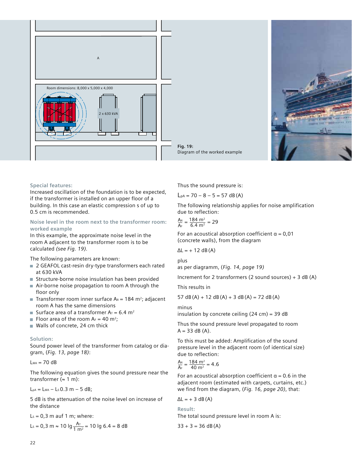





#### **Special features:**

Increased oscillation of the foundation is to be expected, if the transformer is installed on an upper floor of a building. In this case an elastic compression s of up to 0.5 cm is recommended.

## **Noise level in the room next to the transformer room: worked example**

In this example, the approximate noise level in the room A adjacent to the transformer room is to be calculated *(see Fig. 19).*

The following parameters are known:

- 2 GEAFOL cast-resin dry-type transformers each rated at 630 kVA
- Structure-borne noise insulation has been provided
- Air-borne noise propagation to room A through the floor only
- **Transformer room inner surface A**R = 184 m<sup>2</sup>; adjacent room A has the same dimensions
- Surface area of a transformer  $Ar = 6.4$  m<sup>2</sup>
- Floor area of the room  $A_F = 40$  m<sup>2</sup>;
- Walls of concrete, 24 cm thick

# **Solution:**

Sound power level of the transformer from catalog or diagram, (*Fig. 13, page 18)*:

 $L_{WA} = 70 dB$ 

The following equation gives the sound pressure near the transformer ( $\approx 1$  m):

 $L_{pA} = L_{WA} - L_s 0.3 m - 5 dB;$ 

5 dB is the attenuation of the noise level on increase of the distance

 $L<sub>s</sub> = 0.3$  m auf 1 m; where:

$$
L_s = 0.3 \text{ m} \approx 10 \text{ kg} \frac{A_T}{1 \text{ m}^2} = 10 \text{ kg } 6.4 = 8 \text{ dB}
$$

Thus the sound pressure is:

 $L_{pA}$  = 70 – 8 – 5 = 57 dB(A)

The following relationship applies for noise amplification due to reflection:

$$
\frac{A_R}{A_F} = \frac{184 \text{ m}^2}{6.4 \text{ m}^2} = 29
$$

For an acoustical absorption coefficient  $\alpha = 0.01$ (concrete walls), from the diagram

$$
\Delta L = + 12 \text{ dB (A)}
$$

plus as per diagramm, (*Fig. 14, page 19)*

Increment for 2 transformers (2 sound sources) + 3 dB (A)

This results in

57 dB (A) + 12 dB (A) + 3 dB (A) = 72 dB (A)

minus

insulation by concrete ceiling  $(24 \text{ cm}) = 39 \text{ dB}$ 

Thus the sound pressure level propagated to room  $A = 33$  dB (A).

To this must be added: Amplification of the sound pressure level in the adjacent room (of identical size) due to reflection:

$$
\frac{A_R}{A_F} = \frac{184 \text{ m}^2}{40 \text{ m}^2} = 4.6
$$

For an acoustical absorption coefficient  $\alpha$  = 0.6 in the adjacent room (estimated with carpets, curtains, etc.) we find from the diagram, (*Fig. 16, page 20)*, that:

 $\Delta L = +3 dB(A)$ 

**Result:** The total sound pressure level in room A is:

 $33 + 3 = 36$  dB(A)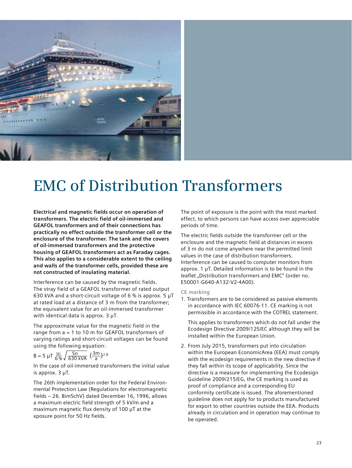

# **EMC of Distribution Transformers**

**Electrical and magnetic fields occur on operation of transformers. The electric field of oil-immersed and GEAFOL transformers and of their connections has practically no effect outside the transformer cell or the enclosure of the transformer. The tank and the covers of oil-immersed transformers and the protective housing of GEAFOL transformers act as Faraday cages. This also applies to a considerable extent to the ceiling and walls of the transformer cells, provided these are not constructed of insulating material.** 

Interference can be caused by the magnetic fields. The stray field of a GEAFOL transformer of rated output 630 kVA and a short-circuit voltage of 6 % is approx.  $5 \mu T$ at rated load at a distance of 3 m from the transformer; the equivalent value for an oil-immersed transformer with identical data is approx.  $3 \mu T$ .

The approximate value for the magnetic field in the range from a = 1 to 10 m for GEAFOL transformers of varying ratings and short-circuit voltages can be found using the following equation:

$$
B = 5 \ \mu T \ \frac{uz}{6\%} \sqrt{\frac{Sn}{630 \ kVA}} \ \big(\frac{3m}{a}\big)^{2.8}
$$

In the case of oil-immersed transformers the initial value is approx. 3 µT.

The 26th implementation order for the Federal Environmental Protection Law (Regulations for electromagnetic fields – 26. BimSchV) dated December 16, 1996, allows a maximum electric field strength of 5 kV/m and a maximum magnetic flux density of 100 µT at the xposure point for 50 Hz fields.

The point of exposure is the point with the most marked effect, to which persons can have access over appreciable periods of time.

The electric fields outside the transformer cell or the enclosure and the magnetic field at distances in excess of 3 m do not come anywhere near the permitted limit values in the case of distribution transformers. Interference can be caused to computer monitors from approx. 1 µT. Detailed information is to be found in the leaflet "Distribution transformers and EMC" (order no. E50001-G640-A132-V2-4A00).

#### **CE marking**

1. Transformers are to be considered as passive elements in accordance with IEC 60076-11. CE marking is not permissible in accordance with the COTREL statement.

This applies to transformers which do not fall under the Ecodesign Directive 2009/125/EC although they will be installed within the European Union.

2. From July 2015, transformers put into circulation within the European EconomicArea (EEA) must comply with the ecodesign requirements in the new directive if they fall within its scope of applicability. Since the directive is a measure for implementing the Ecodesign Guideline 2009/215/EG, the CE marking is used as proof of compliance and a corresponding EU conformity certificate is issued. The aforementioned guideline does not apply for to products manufactured for export to other countries outside the EEA. Products already in circulation and in operation may continue to be operated.